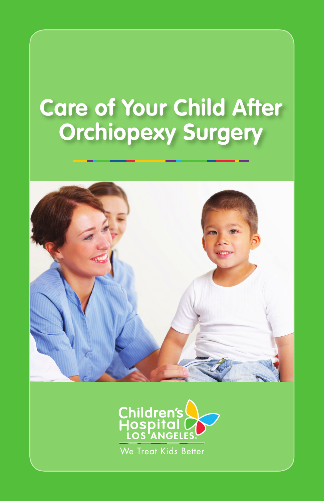# **Care of Your Child After Orchiopexy Surgery**



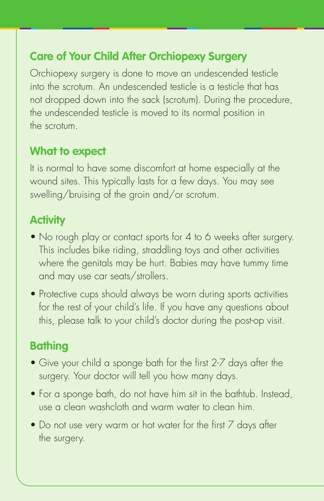# **Care of Your Child After Orchiopexy Surgery**

Orchiopexy surgery is done to move an undescended testicle into the scrotum. An undescended testicle is a testicle that has not dropped down into the sack (scrotum). During the procedure, the undescended testicle is moved to its normal position in the scrotum.

#### **What to expect**

It is normal to have some discomfort at home especially at the wound sites. This typically lasts for a few days. You may see swelling/bruising of the groin and/or scrotum.

#### **Activity**

- No rough play or contact sports for 4 to 6 weeks after surgery. This includes bike riding, straddling toys and other activities where the genitals may be hurt. Babies may have tummy time and may use car seats/strollers.
- Protective cups should always be worn during sports activities for the rest of your child's life. If you have any questions about this, please talk to your child's doctor during the post-op visit.

## **Bathing**

- Give your child a sponge bath for the first 2-7 days after the surgery. Your doctor will tell you how many days.
- For a sponge bath, do not have him sit in the bathtub. Instead, use a clean washcloth and warm water to clean him.
- Do not use very warm or hot water for the first 7 days after the surgery.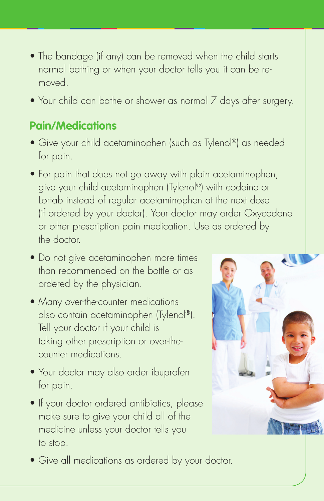- The bandage (if any) can be removed when the child starts normal bathing or when your doctor tells you it can be removed.
- Your child can bathe or shower as normal 7 days after surgery.

#### **Pain/Medications**

- Give your child acetaminophen (such as Tylenol®) as needed for pain.
- For pain that does not go away with plain acetaminophen, give your child acetaminophen (Tylenol®) with codeine or Lortab instead of regular acetaminophen at the next dose (if ordered by your doctor). Your doctor may order Oxycodone or other prescription pain medication. Use as ordered by the doctor.
- Do not give acetaminophen more times than recommended on the bottle or as ordered by the physician.
- Many over-the-counter medications also contain acetaminophen (Tylenol®). Tell your doctor if your child is taking other prescription or over-thecounter medications.
- Your doctor may also order ibuprofen for pain.
- If your doctor ordered antibiotics, please make sure to give your child all of the medicine unless your doctor tells you to stop.
- Give all medications as ordered by your doctor.